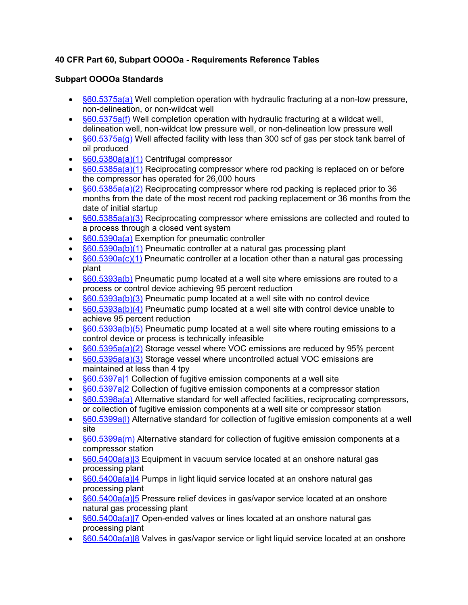## **40 CFR Part 60, Subpart OOOOa - Requirements Reference Tables**

## **Subpart OOOOa Standards**

- $§60.5375a(a)$  Well completion operation with hydraulic fracturing at a non-low pressure, non-delineation, or non-wildcat well
- $\bullet$  [§60.5375a\(f\)](https://www.tceq.texas.gov/downloads/permitting/air-rules/federal/40-cfr-60/subpart-ooooa/r60ooooa.pdf) Well completion operation with hydraulic fracturing at a wildcat well, delineation well, non-wildcat low pressure well, or non-delineation low pressure well
- $§60.5375a(g)$  Well affected facility with less than 300 scf of gas per stock tank barrel of oil produced
- [§60.5380a\(a\)\(1\)](https://www.tceq.texas.gov/downloads/permitting/air-rules/federal/40-cfr-60/subpart-ooooa/r60ooooa.pdf#page=2) Centrifugal compressor
- $\frac{660.5385a(a)(1)}{20}$  Reciprocating compressor where rod packing is replaced on or before the compressor has operated for 26,000 hours
- $§60.5385a(a)(2)$  Reciprocating compressor where rod packing is replaced prior to 36 months from the date of the most recent rod packing replacement or 36 months from the date of initial startup
- $§60.5385a(a)(3)$  Reciprocating compressor where emissions are collected and routed to a process through a closed vent system
- [§60.5390a\(a\)](https://www.tceq.texas.gov/downloads/permitting/air-rules/federal/40-cfr-60/subpart-ooooa/r60ooooa.pdf#page=5) Exemption for pneumatic controller
- [§60.5390a\(b\)\(1\)](https://www.tceq.texas.gov/downloads/permitting/air-rules/federal/40-cfr-60/subpart-ooooa/r60ooooa.pdf#page=5) Pneumatic controller at a natural gas processing plant
- $\S60.5390a(c)(1)$  Pneumatic controller at a location other than a natural gas processing plant
- $\S60.5393a(b)$  Pneumatic pump located at a well site where emissions are routed to a process or control device achieving 95 percent reduction
- $§60.5393a(b)(3)$  Pneumatic pump located at a well site with no control device
- $§60.5393a(b)(4)$  Pneumatic pump located at a well site with control device unable to achieve 95 percent reduction
- $\frac{660.5393a(b)(5)}{2}$  Pneumatic pump located at a well site where routing emissions to a control device or process is technically infeasible
- $\S60.5395a(a)(2)$  Storage vessel where VOC emissions are reduced by 95% percent
- $\frac{\mathcal{S}60.5395a(a)(3)}{20}$  Storage vessel where uncontrolled actual VOC emissions are maintained at less than 4 tpy
- [§60.5397a|1](https://www.tceq.texas.gov/downloads/permitting/air-rules/federal/40-cfr-60/subpart-ooooa/r60ooooa.pdf#page=10) Collection of fugitive emission components at a well site
- [§60.5397a|2](https://www.tceq.texas.gov/downloads/permitting/air-rules/federal/40-cfr-60/subpart-ooooa/r60ooooa.pdf#page=10) Collection of fugitive emission components at a compressor station
- [§60.5398a\(a\)](https://www.tceq.texas.gov/downloads/permitting/air-rules/federal/40-cfr-60/subpart-ooooa/r60ooooa.pdf#page=11) Alternative standard for well affected facilities, reciprocating compressors, or collection of fugitive emission components at a well site or compressor station
- §60.5399a(I) Alternative standard for collection of fugitive emission components at a well site
- $\frac{660.5399a(m)}{24}$  Alternative standard for collection of fugitive emission components at a compressor station
- $\S60.5400a(a)$  Equipment in vacuum service located at an onshore natural gas processing plant
- S60.5400a(a)|4 Pumps in light liquid service located at an onshore natural gas processing plant
- S60.5400a(a)|5 Pressure relief devices in gas/vapor service located at an onshore natural gas processing plant
- $\frac{660.5400a(a)}{7}$  Open-ended valves or lines located at an onshore natural gas processing plant
- $\S60.5400a(a)|8$  Valves in gas/vapor service or light liquid service located at an onshore